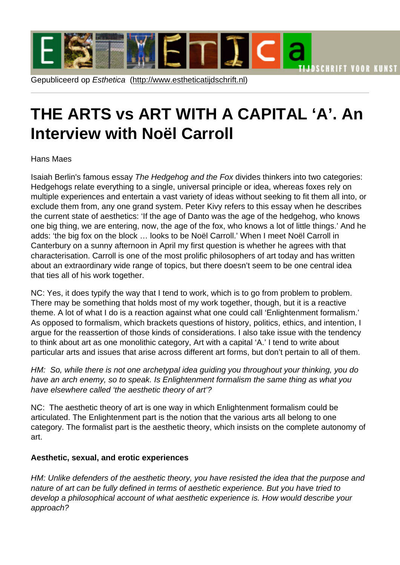# THE ARTS vs [ART WITH A CA](http://www.estheticatijdschrift.nl)PITAL 'A'. An Interview with Noël Carroll

#### Hans Maes

Isaiah Berlin's famous essay The Hedgehog and the Fox divides thinkers into two categories: Hedgehogs relate everything to a single, universal principle or idea, whereas foxes rely on multiple experiences and entertain a vast variety of ideas without seeking to fit them all into, or exclude them from, any one grand system. Peter Kivy refers to this essay when he describes the current state of aesthetics: 'If the age of Danto was the age of the hedgehog, who knows one big thing, we are entering, now, the age of the fox, who knows a lot of little things.' And he adds: 'the big fox on the block … looks to be Noël Carroll.' When I meet Noël Carroll in Canterbury on a sunny afternoon in April my first question is whether he agrees with that characterisation. Carroll is one of the most prolific philosophers of art today and has written about an extraordinary wide range of topics, but there doesn't seem to be one central idea that ties all of his work together.

NC: Yes, it does typify the way that I tend to work, which is to go from problem to problem. There may be something that holds most of my work together, though, but it is a reactive theme. A lot of what I do is a reaction against what one could call 'Enlightenment formalism.' As opposed to formalism, which brackets questions of history, politics, ethics, and intention, I argue for the reassertion of those kinds of considerations. I also take issue with the tendency to think about art as one monolithic category, Art with a capital 'A.' I tend to write about particular arts and issues that arise across different art forms, but don't pertain to all of them.

HM: So, while there is not one archetypal idea guiding you throughout your thinking, you do have an arch enemy, so to speak. Is Enlightenment formalism the same thing as what you have elsewhere called 'the aesthetic theory of art'?

NC: The aesthetic theory of art is one way in which Enlightenment formalism could be articulated. The Enlightenment part is the notion that the various arts all belong to one category. The formalist part is the aesthetic theory, which insists on the complete autonomy of art.

Aesthetic, sexual, and erotic experiences

HM: Unlike defenders of the aesthetic theory, you have resisted the idea that the purpose and nature of art can be fully defined in terms of aesthetic experience. But you have tried to develop a philosophical account of what aesthetic experience is. How would describe your approach?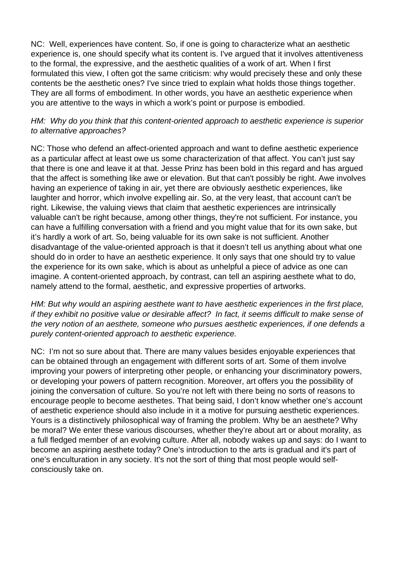NC: Well, experiences have content. So, if one is going to characterize what an aesthetic experience is, one should specify what its content is. I've argued that it involves attentiveness to the formal, the expressive, and the aesthetic qualities of a work of art. When I first formulated this view, I often got the same criticism: why would precisely these and only these contents be the aesthetic ones? I've since tried to explain what holds those things together. They are all forms of embodiment. In other words, you have an aesthetic experience when you are attentive to the ways in which a work's point or purpose is embodied.

#### HM: Why do you think that this content-oriented approach to aesthetic experience is superior to alternative approaches?

NC: Those who defend an affect-oriented approach and want to define aesthetic experience as a particular affect at least owe us some characterization of that affect. You can't just say that there is one and leave it at that. Jesse Prinz has been bold in this regard and has argued that the affect is something like awe or elevation. But that can't possibly be right. Awe involves having an experience of taking in air, yet there are obviously aesthetic experiences, like laughter and horror, which involve expelling air. So, at the very least, that account can't be right. Likewise, the valuing views that claim that aesthetic experiences are intrinsically valuable can't be right because, among other things, they're not sufficient. For instance, you can have a fulfilling conversation with a friend and you might value that for its own sake, but it's hardly a work of art. So, being valuable for its own sake is not sufficient. Another disadvantage of the value-oriented approach is that it doesn't tell us anything about what one should do in order to have an aesthetic experience. It only says that one should try to value the experience for its own sake, which is about as unhelpful a piece of advice as one can imagine. A content-oriented approach, by contrast, can tell an aspiring aesthete what to do, namely attend to the formal, aesthetic, and expressive properties of artworks.

HM: But why would an aspiring aesthete want to have aesthetic experiences in the first place, if they exhibit no positive value or desirable affect? In fact, it seems difficult to make sense of the very notion of an aesthete, someone who pursues aesthetic experiences, if one defends a purely content-oriented approach to aesthetic experience.

NC: I'm not so sure about that. There are many values besides enjoyable experiences that can be obtained through an engagement with different sorts of art. Some of them involve improving your powers of interpreting other people, or enhancing your discriminatory powers, or developing your powers of pattern recognition. Moreover, art offers you the possibility of joining the conversation of culture. So you're not left with there being no sorts of reasons to encourage people to become aesthetes. That being said, I don't know whether one's account of aesthetic experience should also include in it a motive for pursuing aesthetic experiences. Yours is a distinctively philosophical way of framing the problem. Why be an aesthete? Why be moral? We enter these various discourses, whether they're about art or about morality, as a full fledged member of an evolving culture. After all, nobody wakes up and says: do I want to become an aspiring aesthete today? One's introduction to the arts is gradual and it's part of one's enculturation in any society. It's not the sort of thing that most people would selfconsciously take on.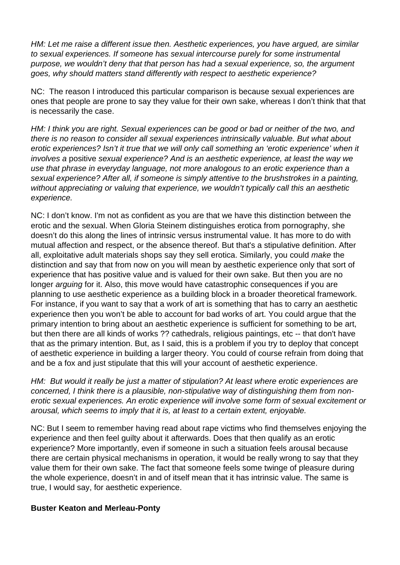HM: Let me raise a different issue then. Aesthetic experiences, you have argued, are similar to sexual experiences. If someone has sexual intercourse purely for some instrumental purpose, we wouldn't deny that that person has had a sexual experience, so, the argument goes, why should matters stand differently with respect to aesthetic experience?

NC: The reason I introduced this particular comparison is because sexual experiences are ones that people are prone to say they value for their own sake, whereas I don't think that that is necessarily the case.

HM: I think you are right. Sexual experiences can be good or bad or neither of the two, and there is no reason to consider all sexual experiences intrinsically valuable. But what about erotic experiences? Isn't it true that we will only call something an 'erotic experience' when it involves a positive sexual experience? And is an aesthetic experience, at least the way we use that phrase in everyday language, not more analogous to an erotic experience than a sexual experience? After all, if someone is simply attentive to the brushstrokes in a painting, without appreciating or valuing that experience, we wouldn't typically call this an aesthetic experience.

NC: I don't know. I'm not as confident as you are that we have this distinction between the erotic and the sexual. When Gloria Steinem distinguishes erotica from pornography, she doesn't do this along the lines of intrinsic versus instrumental value. It has more to do with mutual affection and respect, or the absence thereof. But that's a stipulative definition. After all, exploitative adult materials shops say they sell erotica. Similarly, you could make the distinction and say that from now on you will mean by aesthetic experience only that sort of experience that has positive value and is valued for their own sake. But then you are no longer arguing for it. Also, this move would have catastrophic consequences if you are planning to use aesthetic experience as a building block in a broader theoretical framework. For instance, if you want to say that a work of art is something that has to carry an aesthetic experience then you won't be able to account for bad works of art. You could argue that the primary intention to bring about an aesthetic experience is sufficient for something to be art, but then there are all kinds of works ?? cathedrals, religious paintings, etc -- that don't have that as the primary intention. But, as I said, this is a problem if you try to deploy that concept of aesthetic experience in building a larger theory. You could of course refrain from doing that and be a fox and just stipulate that this will your account of aesthetic experience.

HM: But would it really be just a matter of stipulation? At least where erotic experiences are concerned, I think there is a plausible, non-stipulative way of distinguishing them from nonerotic sexual experiences. An erotic experience will involve some form of sexual excitement or arousal, which seems to imply that it is, at least to a certain extent, enjoyable.

NC: But I seem to remember having read about rape victims who find themselves enjoying the experience and then feel guilty about it afterwards. Does that then qualify as an erotic experience? More importantly, even if someone in such a situation feels arousal because there are certain physical mechanisms in operation, it would be really wrong to say that they value them for their own sake. The fact that someone feels some twinge of pleasure during the whole experience, doesn't in and of itself mean that it has intrinsic value. The same is true, I would say, for aesthetic experience.

#### **Buster Keaton and Merleau-Ponty**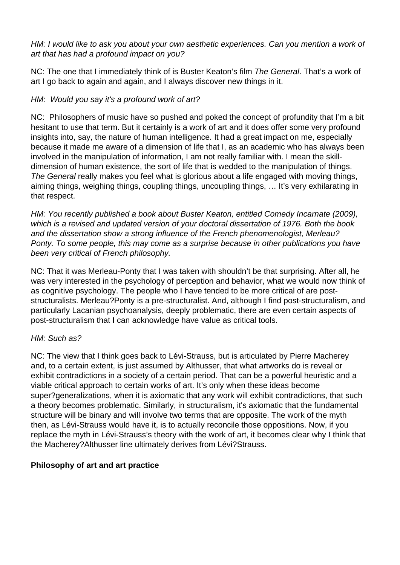HM: I would like to ask you about your own aesthetic experiences. Can you mention a work of art that has had a profound impact on you?

NC: The one that I immediately think of is Buster Keaton's film The General. That's a work of art I go back to again and again, and I always discover new things in it.

# HM: Would you say it's a profound work of art?

NC: Philosophers of music have so pushed and poked the concept of profundity that I'm a bit hesitant to use that term. But it certainly is a work of art and it does offer some very profound insights into, say, the nature of human intelligence. It had a great impact on me, especially because it made me aware of a dimension of life that I, as an academic who has always been involved in the manipulation of information, I am not really familiar with. I mean the skilldimension of human existence, the sort of life that is wedded to the manipulation of things. The General really makes you feel what is glorious about a life engaged with moving things, aiming things, weighing things, coupling things, uncoupling things, … It's very exhilarating in that respect.

HM: You recently published a book about Buster Keaton, entitled Comedy Incarnate (2009), which is a revised and updated version of your doctoral dissertation of 1976. Both the book and the dissertation show a strong influence of the French phenomenologist, Merleau? Ponty. To some people, this may come as a surprise because in other publications you have been very critical of French philosophy.

NC: That it was Merleau-Ponty that I was taken with shouldn't be that surprising. After all, he was very interested in the psychology of perception and behavior, what we would now think of as cognitive psychology. The people who I have tended to be more critical of are poststructuralists. Merleau?Ponty is a pre-structuralist. And, although I find post-structuralism, and particularly Lacanian psychoanalysis, deeply problematic, there are even certain aspects of post-structuralism that I can acknowledge have value as critical tools.

# HM: Such as?

NC: The view that I think goes back to Lévi-Strauss, but is articulated by Pierre Macherey and, to a certain extent, is just assumed by Althusser, that what artworks do is reveal or exhibit contradictions in a society of a certain period. That can be a powerful heuristic and a viable critical approach to certain works of art. It's only when these ideas become super?generalizations, when it is axiomatic that any work will exhibit contradictions, that such a theory becomes problematic. Similarly, in structuralism, it's axiomatic that the fundamental structure will be binary and will involve two terms that are opposite. The work of the myth then, as Lévi-Strauss would have it, is to actually reconcile those oppositions. Now, if you replace the myth in Lévi-Strauss's theory with the work of art, it becomes clear why I think that the Macherey?Althusser line ultimately derives from Lévi?Strauss.

# **Philosophy of art and art practice**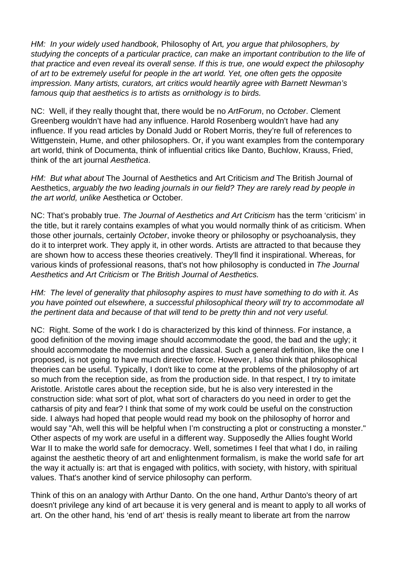HM: In your widely used handbook, Philosophy of Art, you argue that philosophers, by studying the concepts of a particular practice, can make an important contribution to the life of that practice and even reveal its overall sense. If this is true, one would expect the philosophy of art to be extremely useful for people in the art world. Yet, one often gets the opposite impression. Many artists, curators, art critics would heartily agree with Barnett Newman's famous quip that aesthetics is to artists as ornithology is to birds.

NC: Well, if they really thought that, there would be no ArtForum, no October. Clement Greenberg wouldn't have had any influence. Harold Rosenberg wouldn't have had any influence. If you read articles by Donald Judd or Robert Morris, they're full of references to Wittgenstein, Hume, and other philosophers. Or, if you want examples from the contemporary art world, think of Documenta, think of influential critics like Danto, Buchlow, Krauss, Fried, think of the art journal Aesthetica.

HM: But what about The Journal of Aesthetics and Art Criticism and The British Journal of Aesthetics, arguably the two leading journals in our field? They are rarely read by people in the art world, unlike Aesthetica or October.

NC: That's probably true. The Journal of Aesthetics and Art Criticism has the term 'criticism' in the title, but it rarely contains examples of what you would normally think of as criticism. When those other journals, certainly October, invoke theory or philosophy or psychoanalysis, they do it to interpret work. They apply it, in other words. Artists are attracted to that because they are shown how to access these theories creatively. They'll find it inspirational. Whereas, for various kinds of professional reasons, that's not how philosophy is conducted in The Journal Aesthetics and Art Criticism or The British Journal of Aesthetics.

HM: The level of generality that philosophy aspires to must have something to do with it. As you have pointed out elsewhere, a successful philosophical theory will try to accommodate all the pertinent data and because of that will tend to be pretty thin and not very useful.

NC: Right. Some of the work I do is characterized by this kind of thinness. For instance, a good definition of the moving image should accommodate the good, the bad and the ugly; it should accommodate the modernist and the classical. Such a general definition, like the one I proposed, is not going to have much directive force. However, I also think that philosophical theories can be useful. Typically, I don't like to come at the problems of the philosophy of art so much from the reception side, as from the production side. In that respect, I try to imitate Aristotle. Aristotle cares about the reception side, but he is also very interested in the construction side: what sort of plot, what sort of characters do you need in order to get the catharsis of pity and fear? I think that some of my work could be useful on the construction side. I always had hoped that people would read my book on the philosophy of horror and would say "Ah, well this will be helpful when I'm constructing a plot or constructing a monster." Other aspects of my work are useful in a different way. Supposedly the Allies fought World War II to make the world safe for democracy. Well, sometimes I feel that what I do, in railing against the aesthetic theory of art and enlightenment formalism, is make the world safe for art the way it actually is: art that is engaged with politics, with society, with history, with spiritual values. That's another kind of service philosophy can perform.

Think of this on an analogy with Arthur Danto. On the one hand, Arthur Danto's theory of art doesn't privilege any kind of art because it is very general and is meant to apply to all works of art. On the other hand, his 'end of art' thesis is really meant to liberate art from the narrow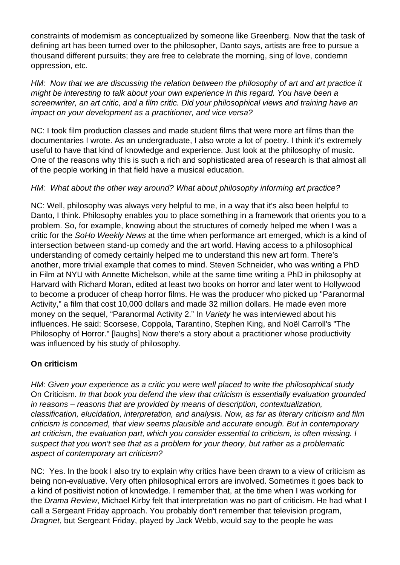constraints of modernism as conceptualized by someone like Greenberg. Now that the task of defining art has been turned over to the philosopher, Danto says, artists are free to pursue a thousand different pursuits; they are free to celebrate the morning, sing of love, condemn oppression, etc.

HM: Now that we are discussing the relation between the philosophy of art and art practice it might be interesting to talk about your own experience in this regard. You have been a screenwriter, an art critic, and a film critic. Did your philosophical views and training have an impact on your development as a practitioner, and vice versa?

NC: I took film production classes and made student films that were more art films than the documentaries I wrote. As an undergraduate, I also wrote a lot of poetry. I think it's extremely useful to have that kind of knowledge and experience. Just look at the philosophy of music. One of the reasons why this is such a rich and sophisticated area of research is that almost all of the people working in that field have a musical education.

# HM: What about the other way around? What about philosophy informing art practice?

NC: Well, philosophy was always very helpful to me, in a way that it's also been helpful to Danto, I think. Philosophy enables you to place something in a framework that orients you to a problem. So, for example, knowing about the structures of comedy helped me when I was a critic for the SoHo Weekly News at the time when performance art emerged, which is a kind of intersection between stand-up comedy and the art world. Having access to a philosophical understanding of comedy certainly helped me to understand this new art form. There's another, more trivial example that comes to mind. Steven Schneider, who was writing a PhD in Film at NYU with Annette Michelson, while at the same time writing a PhD in philosophy at Harvard with Richard Moran, edited at least two books on horror and later went to Hollywood to become a producer of cheap horror films. He was the producer who picked up "Paranormal Activity," a film that cost 10,000 dollars and made 32 million dollars. He made even more money on the sequel, "Paranormal Activity 2." In Variety he was interviewed about his influences. He said: Scorsese, Coppola, Tarantino, Stephen King, and Noël Carroll's "The Philosophy of Horror." [laughs] Now there's a story about a practitioner whose productivity was influenced by his study of philosophy.

# **On criticism**

HM: Given your experience as a critic you were well placed to write the philosophical study On Criticism. In that book you defend the view that criticism is essentially evaluation grounded in reasons – reasons that are provided by means of description, contextualization, classification, elucidation, interpretation, and analysis. Now, as far as literary criticism and film criticism is concerned, that view seems plausible and accurate enough. But in contemporary art criticism, the evaluation part, which you consider essential to criticism, is often missing. I suspect that you won't see that as a problem for your theory, but rather as a problematic aspect of contemporary art criticism?

NC: Yes. In the book I also try to explain why critics have been drawn to a view of criticism as being non-evaluative. Very often philosophical errors are involved. Sometimes it goes back to a kind of positivist notion of knowledge. I remember that, at the time when I was working for the *Drama Review*, Michael Kirby felt that interpretation was no part of criticism. He had what I call a Sergeant Friday approach. You probably don't remember that television program, Dragnet, but Sergeant Friday, played by Jack Webb, would say to the people he was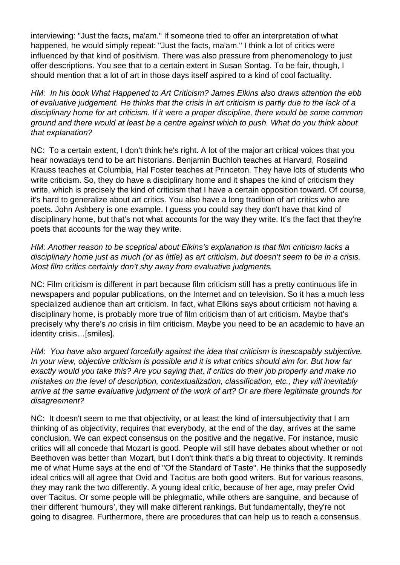interviewing: "Just the facts, ma'am." If someone tried to offer an interpretation of what happened, he would simply repeat: "Just the facts, ma'am." I think a lot of critics were influenced by that kind of positivism. There was also pressure from phenomenology to just offer descriptions. You see that to a certain extent in Susan Sontag. To be fair, though, I should mention that a lot of art in those days itself aspired to a kind of cool factuality.

HM: In his book What Happened to Art Criticism? James Elkins also draws attention the ebb of evaluative judgement. He thinks that the crisis in art criticism is partly due to the lack of a disciplinary home for art criticism. If it were a proper discipline, there would be some common ground and there would at least be a centre against which to push. What do you think about that explanation?

NC: To a certain extent, I don't think he's right. A lot of the major art critical voices that you hear nowadays tend to be art historians. Benjamin Buchloh teaches at Harvard, Rosalind Krauss teaches at Columbia, Hal Foster teaches at Princeton. They have lots of students who write criticism. So, they do have a disciplinary home and it shapes the kind of criticism they write, which is precisely the kind of criticism that I have a certain opposition toward. Of course, it's hard to generalize about art critics. You also have a long tradition of art critics who are poets. John Ashbery is one example. I guess you could say they don't have that kind of disciplinary home, but that's not what accounts for the way they write. It's the fact that they're poets that accounts for the way they write.

HM: Another reason to be sceptical about Elkins's explanation is that film criticism lacks a disciplinary home just as much (or as little) as art criticism, but doesn't seem to be in a crisis. Most film critics certainly don't shy away from evaluative judgments.

NC: Film criticism is different in part because film criticism still has a pretty continuous life in newspapers and popular publications, on the Internet and on television. So it has a much less specialized audience than art criticism. In fact, what Elkins says about criticism not having a disciplinary home, is probably more true of film criticism than of art criticism. Maybe that's precisely why there's no crisis in film criticism. Maybe you need to be an academic to have an identity crisis…[smiles].

HM: You have also argued forcefully against the idea that criticism is inescapably subjective. In your view, objective criticism is possible and it is what critics should aim for. But how far exactly would you take this? Are you saying that, if critics do their job properly and make no mistakes on the level of description, contextualization, classification, etc., they will inevitably arrive at the same evaluative judgment of the work of art? Or are there legitimate grounds for disagreement?

NC: It doesn't seem to me that objectivity, or at least the kind of intersubjectivity that I am thinking of as objectivity, requires that everybody, at the end of the day, arrives at the same conclusion. We can expect consensus on the positive and the negative. For instance, music critics will all concede that Mozart is good. People will still have debates about whether or not Beethoven was better than Mozart, but I don't think that's a big threat to objectivity. It reminds me of what Hume says at the end of "Of the Standard of Taste". He thinks that the supposedly ideal critics will all agree that Ovid and Tacitus are both good writers. But for various reasons, they may rank the two differently. A young ideal critic, because of her age, may prefer Ovid over Tacitus. Or some people will be phlegmatic, while others are sanguine, and because of their different 'humours', they will make different rankings. But fundamentally, they're not going to disagree. Furthermore, there are procedures that can help us to reach a consensus.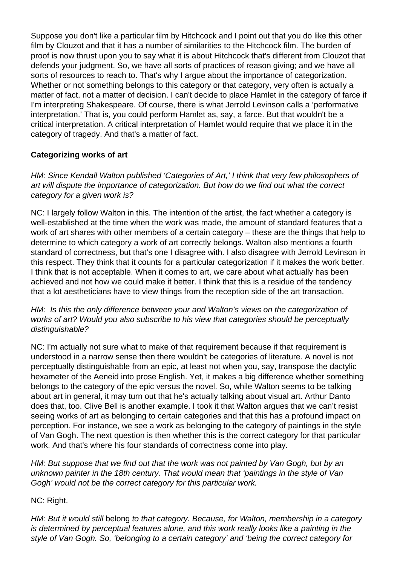Suppose you don't like a particular film by Hitchcock and I point out that you do like this other film by Clouzot and that it has a number of similarities to the Hitchcock film. The burden of proof is now thrust upon you to say what it is about Hitchcock that's different from Clouzot that defends your judgment. So, we have all sorts of practices of reason giving; and we have all sorts of resources to reach to. That's why I argue about the importance of categorization. Whether or not something belongs to this category or that category, very often is actually a matter of fact, not a matter of decision. I can't decide to place Hamlet in the category of farce if I'm interpreting Shakespeare. Of course, there is what Jerrold Levinson calls a 'performative interpretation.' That is, you could perform Hamlet as, say, a farce. But that wouldn't be a critical interpretation. A critical interpretation of Hamlet would require that we place it in the category of tragedy. And that's a matter of fact.

# **Categorizing works of art**

HM: Since Kendall Walton published 'Categories of Art,' I think that very few philosophers of art will dispute the importance of categorization. But how do we find out what the correct category for a given work is?

NC: I largely follow Walton in this. The intention of the artist, the fact whether a category is well-established at the time when the work was made, the amount of standard features that a work of art shares with other members of a certain category – these are the things that help to determine to which category a work of art correctly belongs. Walton also mentions a fourth standard of correctness, but that's one I disagree with. I also disagree with Jerrold Levinson in this respect. They think that it counts for a particular categorization if it makes the work better. I think that is not acceptable. When it comes to art, we care about what actually has been achieved and not how we could make it better. I think that this is a residue of the tendency that a lot aestheticians have to view things from the reception side of the art transaction.

# HM: Is this the only difference between your and Walton's views on the categorization of works of art? Would you also subscribe to his view that categories should be perceptually distinguishable?

NC: I'm actually not sure what to make of that requirement because if that requirement is understood in a narrow sense then there wouldn't be categories of literature. A novel is not perceptually distinguishable from an epic, at least not when you, say, transpose the dactylic hexameter of the Aeneid into prose English. Yet, it makes a big difference whether something belongs to the category of the epic versus the novel. So, while Walton seems to be talking about art in general, it may turn out that he's actually talking about visual art. Arthur Danto does that, too. Clive Bell is another example. I took it that Walton argues that we can't resist seeing works of art as belonging to certain categories and that this has a profound impact on perception. For instance, we see a work as belonging to the category of paintings in the style of Van Gogh. The next question is then whether this is the correct category for that particular work. And that's where his four standards of correctness come into play.

HM: But suppose that we find out that the work was not painted by Van Gogh, but by an unknown painter in the 18th century. That would mean that 'paintings in the style of Van Gogh' would not be the correct category for this particular work.

# NC: Right.

HM: But it would still belong to that category. Because, for Walton, membership in a category is determined by perceptual features alone, and this work really looks like a painting in the style of Van Gogh. So, 'belonging to a certain category' and 'being the correct category for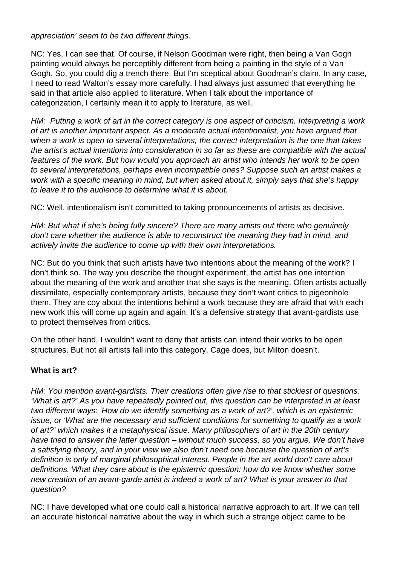appreciation' seem to be two different things.

NC: Yes, I can see that. Of course, if Nelson Goodman were right, then being a Van Gogh painting would always be perceptibly different from being a painting in the style of a Van Gogh. So, you could dig a trench there. But I'm sceptical about Goodman's claim. In any case, I need to read Walton's essay more carefully. I had always just assumed that everything he said in that article also applied to literature. When I talk about the importance of categorization, I certainly mean it to apply to literature, as well.

HM: Putting a work of art in the correct category is one aspect of criticism. Interpreting a work of art is another important aspect. As a moderate actual intentionalist, you have argued that when a work is open to several interpretations, the correct interpretation is the one that takes the artist's actual intentions into consideration in so far as these are compatible with the actual features of the work. But how would you approach an artist who intends her work to be open to several interpretations, perhaps even incompatible ones? Suppose such an artist makes a work with a specific meaning in mind, but when asked about it, simply says that she's happy to leave it to the audience to determine what it is about.

NC: Well, intentionalism isn't committed to taking pronouncements of artists as decisive.

HM: But what if she's being fully sincere? There are many artists out there who genuinely don't care whether the audience is able to reconstruct the meaning they had in mind, and actively invite the audience to come up with their own interpretations.

NC: But do you think that such artists have two intentions about the meaning of the work? I don't think so. The way you describe the thought experiment, the artist has one intention about the meaning of the work and another that she says is the meaning. Often artists actually dissimilate, especially contemporary artists, because they don't want critics to pigeonhole them. They are coy about the intentions behind a work because they are afraid that with each new work this will come up again and again. It's a defensive strategy that avant-gardists use to protect themselves from critics.

On the other hand, I wouldn't want to deny that artists can intend their works to be open structures. But not all artists fall into this category. Cage does, but Milton doesn't.

# **What is art?**

HM: You mention avant-gardists. Their creations often give rise to that stickiest of questions: 'What is art?' As you have repeatedly pointed out, this question can be interpreted in at least two different ways: 'How do we identify something as a work of art?', which is an epistemic issue, or 'What are the necessary and sufficient conditions for something to qualify as a work of art?' which makes it a metaphysical issue. Many philosophers of art in the 20th century have tried to answer the latter question – without much success, so you argue. We don't have a satisfying theory, and in your view we also don't need one because the question of art's definition is only of marginal philosophical interest. People in the art world don't care about definitions. What they care about is the epistemic question: how do we know whether some new creation of an avant-garde artist is indeed a work of art? What is your answer to that question?

NC: I have developed what one could call a historical narrative approach to art. If we can tell an accurate historical narrative about the way in which such a strange object came to be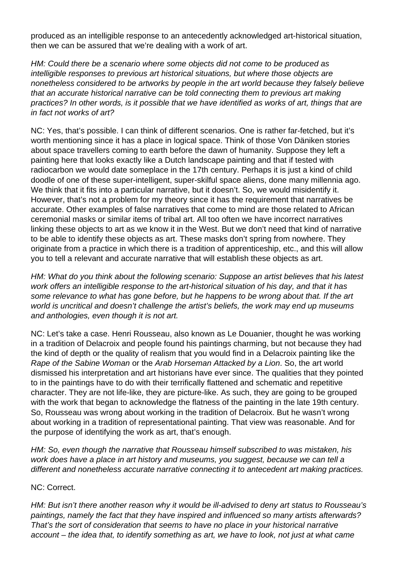produced as an intelligible response to an antecedently acknowledged art-historical situation, then we can be assured that we're dealing with a work of art.

HM: Could there be a scenario where some objects did not come to be produced as intelligible responses to previous art historical situations, but where those objects are nonetheless considered to be artworks by people in the art world because they falsely believe that an accurate historical narrative can be told connecting them to previous art making practices? In other words, is it possible that we have identified as works of art, things that are in fact not works of art?

NC: Yes, that's possible. I can think of different scenarios. One is rather far-fetched, but it's worth mentioning since it has a place in logical space. Think of those Von Däniken stories about space travellers coming to earth before the dawn of humanity. Suppose they left a painting here that looks exactly like a Dutch landscape painting and that if tested with radiocarbon we would date someplace in the 17th century. Perhaps it is just a kind of child doodle of one of these super-intelligent, super-skilful space aliens, done many millennia ago. We think that it fits into a particular narrative, but it doesn't. So, we would misidentify it. However, that's not a problem for my theory since it has the requirement that narratives be accurate. Other examples of false narratives that come to mind are those related to African ceremonial masks or similar items of tribal art. All too often we have incorrect narratives linking these objects to art as we know it in the West. But we don't need that kind of narrative to be able to identify these objects as art. These masks don't spring from nowhere. They originate from a practice in which there is a tradition of apprenticeship, etc., and this will allow you to tell a relevant and accurate narrative that will establish these objects as art.

HM: What do you think about the following scenario: Suppose an artist believes that his latest work offers an intelligible response to the art-historical situation of his day, and that it has some relevance to what has gone before, but he happens to be wrong about that. If the art world is uncritical and doesn't challenge the artist's beliefs, the work may end up museums and anthologies, even though it is not art.

NC: Let's take a case. Henri Rousseau, also known as Le Douanier, thought he was working in a tradition of Delacroix and people found his paintings charming, but not because they had the kind of depth or the quality of realism that you would find in a Delacroix painting like the Rape of the Sabine Woman or the Arab Horseman Attacked by a Lion. So, the art world dismissed his interpretation and art historians have ever since. The qualities that they pointed to in the paintings have to do with their terrifically flattened and schematic and repetitive character. They are not life-like, they are picture-like. As such, they are going to be grouped with the work that began to acknowledge the flatness of the painting in the late 19th century. So, Rousseau was wrong about working in the tradition of Delacroix. But he wasn't wrong about working in a tradition of representational painting. That view was reasonable. And for the purpose of identifying the work as art, that's enough.

HM: So, even though the narrative that Rousseau himself subscribed to was mistaken, his work does have a place in art history and museums, you suggest, because we can tell a different and nonetheless accurate narrative connecting it to antecedent art making practices.

# NC: Correct.

HM: But isn't there another reason why it would be ill-advised to deny art status to Rousseau's paintings, namely the fact that they have inspired and influenced so many artists afterwards? That's the sort of consideration that seems to have no place in your historical narrative account – the idea that, to identify something as art, we have to look, not just at what came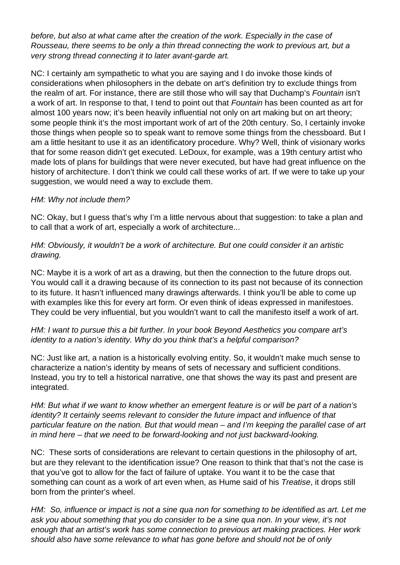before, but also at what came after the creation of the work. Especially in the case of Rousseau, there seems to be only a thin thread connecting the work to previous art, but a very strong thread connecting it to later avant-garde art.

NC: I certainly am sympathetic to what you are saying and I do invoke those kinds of considerations when philosophers in the debate on art's definition try to exclude things from the realm of art. For instance, there are still those who will say that Duchamp's Fountain isn't a work of art. In response to that, I tend to point out that Fountain has been counted as art for almost 100 years now; it's been heavily influential not only on art making but on art theory; some people think it's the most important work of art of the 20th century. So, I certainly invoke those things when people so to speak want to remove some things from the chessboard. But I am a little hesitant to use it as an identificatory procedure. Why? Well, think of visionary works that for some reason didn't get executed. LeDoux, for example, was a 19th century artist who made lots of plans for buildings that were never executed, but have had great influence on the history of architecture. I don't think we could call these works of art. If we were to take up your suggestion, we would need a way to exclude them.

# HM: Why not include them?

NC: Okay, but I guess that's why I'm a little nervous about that suggestion: to take a plan and to call that a work of art, especially a work of architecture...

#### HM: Obviously, it wouldn't be a work of architecture. But one could consider it an artistic drawing.

NC: Maybe it is a work of art as a drawing, but then the connection to the future drops out. You would call it a drawing because of its connection to its past not because of its connection to its future. It hasn't influenced many drawings afterwards. I think you'll be able to come up with examples like this for every art form. Or even think of ideas expressed in manifestoes. They could be very influential, but you wouldn't want to call the manifesto itself a work of art.

#### HM: I want to pursue this a bit further. In your book Beyond Aesthetics you compare art's identity to a nation's identity. Why do you think that's a helpful comparison?

NC: Just like art, a nation is a historically evolving entity. So, it wouldn't make much sense to characterize a nation's identity by means of sets of necessary and sufficient conditions. Instead, you try to tell a historical narrative, one that shows the way its past and present are integrated.

HM: But what if we want to know whether an emergent feature is or will be part of a nation's identity? It certainly seems relevant to consider the future impact and influence of that particular feature on the nation. But that would mean – and I'm keeping the parallel case of art in mind here – that we need to be forward-looking and not just backward-looking.

NC: These sorts of considerations are relevant to certain questions in the philosophy of art, but are they relevant to the identification issue? One reason to think that that's not the case is that you've got to allow for the fact of failure of uptake. You want it to be the case that something can count as a work of art even when, as Hume said of his Treatise, it drops still born from the printer's wheel.

HM: So, influence or impact is not a sine qua non for something to be identified as art. Let me ask you about something that you do consider to be a sine qua non. In your view, it's not enough that an artist's work has some connection to previous art making practices. Her work should also have some relevance to what has gone before and should not be of only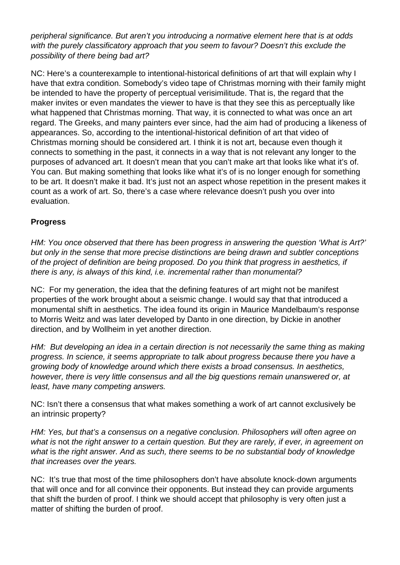peripheral significance. But aren't you introducing a normative element here that is at odds with the purely classificatory approach that you seem to favour? Doesn't this exclude the possibility of there being bad art?

NC: Here's a counterexample to intentional-historical definitions of art that will explain why I have that extra condition. Somebody's video tape of Christmas morning with their family might be intended to have the property of perceptual verisimilitude. That is, the regard that the maker invites or even mandates the viewer to have is that they see this as perceptually like what happened that Christmas morning. That way, it is connected to what was once an art regard. The Greeks, and many painters ever since, had the aim had of producing a likeness of appearances. So, according to the intentional-historical definition of art that video of Christmas morning should be considered art. I think it is not art, because even though it connects to something in the past, it connects in a way that is not relevant any longer to the purposes of advanced art. It doesn't mean that you can't make art that looks like what it's of. You can. But making something that looks like what it's of is no longer enough for something to be art. It doesn't make it bad. It's just not an aspect whose repetition in the present makes it count as a work of art. So, there's a case where relevance doesn't push you over into evaluation.

# **Progress**

HM: You once observed that there has been progress in answering the question 'What is Art?' but only in the sense that more precise distinctions are being drawn and subtler conceptions of the project of definition are being proposed. Do you think that progress in aesthetics, if there is any, is always of this kind, i.e. incremental rather than monumental?

NC: For my generation, the idea that the defining features of art might not be manifest properties of the work brought about a seismic change. I would say that that introduced a monumental shift in aesthetics. The idea found its origin in Maurice Mandelbaum's response to Morris Weitz and was later developed by Danto in one direction, by Dickie in another direction, and by Wollheim in yet another direction.

HM: But developing an idea in a certain direction is not necessarily the same thing as making progress. In science, it seems appropriate to talk about progress because there you have a growing body of knowledge around which there exists a broad consensus. In aesthetics, however, there is very little consensus and all the big questions remain unanswered or, at least, have many competing answers.

NC: Isn't there a consensus that what makes something a work of art cannot exclusively be an intrinsic property?

HM: Yes, but that's a consensus on a negative conclusion. Philosophers will often agree on what is not the right answer to a certain question. But they are rarely, if ever, in agreement on what is the right answer. And as such, there seems to be no substantial body of knowledge that increases over the years.

NC: It's true that most of the time philosophers don't have absolute knock-down arguments that will once and for all convince their opponents. But instead they can provide arguments that shift the burden of proof. I think we should accept that philosophy is very often just a matter of shifting the burden of proof.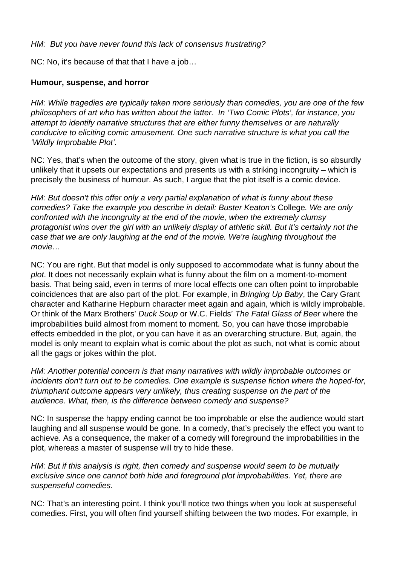HM: But you have never found this lack of consensus frustrating?

NC: No, it's because of that that I have a job…

# **Humour, suspense, and horror**

HM: While tragedies are typically taken more seriously than comedies, you are one of the few philosophers of art who has written about the latter. In 'Two Comic Plots', for instance, you attempt to identify narrative structures that are either funny themselves or are naturally conducive to eliciting comic amusement. One such narrative structure is what you call the 'Wildly Improbable Plot'.

NC: Yes, that's when the outcome of the story, given what is true in the fiction, is so absurdly unlikely that it upsets our expectations and presents us with a striking incongruity – which is precisely the business of humour. As such, I argue that the plot itself is a comic device.

HM: But doesn't this offer only a very partial explanation of what is funny about these comedies? Take the example you describe in detail: Buster Keaton's College. We are only confronted with the incongruity at the end of the movie, when the extremely clumsy protagonist wins over the girl with an unlikely display of athletic skill. But it's certainly not the case that we are only laughing at the end of the movie. We're laughing throughout the movie…

NC: You are right. But that model is only supposed to accommodate what is funny about the plot. It does not necessarily explain what is funny about the film on a moment-to-moment basis. That being said, even in terms of more local effects one can often point to improbable coincidences that are also part of the plot. For example, in Bringing Up Baby, the Cary Grant character and Katharine Hepburn character meet again and again, which is wildly improbable. Or think of the Marx Brothers' Duck Soup or W.C. Fields' The Fatal Glass of Beer where the improbabilities build almost from moment to moment. So, you can have those improbable effects embedded in the plot, or you can have it as an overarching structure. But, again, the model is only meant to explain what is comic about the plot as such, not what is comic about all the gags or jokes within the plot.

HM: Another potential concern is that many narratives with wildly improbable outcomes or incidents don't turn out to be comedies. One example is suspense fiction where the hoped-for, triumphant outcome appears very unlikely, thus creating suspense on the part of the audience. What, then, is the difference between comedy and suspense?

NC: In suspense the happy ending cannot be too improbable or else the audience would start laughing and all suspense would be gone. In a comedy, that's precisely the effect you want to achieve. As a consequence, the maker of a comedy will foreground the improbabilities in the plot, whereas a master of suspense will try to hide these.

HM: But if this analysis is right, then comedy and suspense would seem to be mutually exclusive since one cannot both hide and foreground plot improbabilities. Yet, there are suspenseful comedies.

NC: That's an interesting point. I think you'll notice two things when you look at suspenseful comedies. First, you will often find yourself shifting between the two modes. For example, in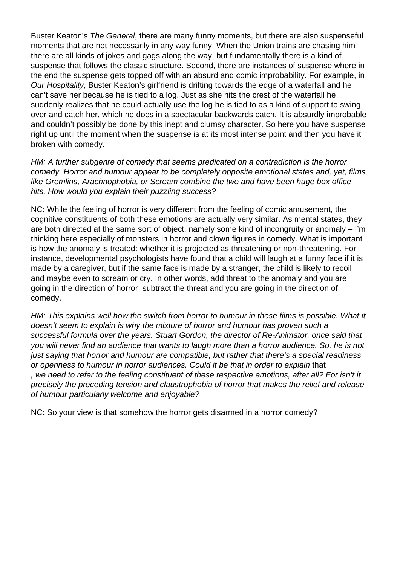Buster Keaton's The General, there are many funny moments, but there are also suspenseful moments that are not necessarily in any way funny. When the Union trains are chasing him there are all kinds of jokes and gags along the way, but fundamentally there is a kind of suspense that follows the classic structure. Second, there are instances of suspense where in the end the suspense gets topped off with an absurd and comic improbability. For example, in Our Hospitality, Buster Keaton's girlfriend is drifting towards the edge of a waterfall and he can't save her because he is tied to a log. Just as she hits the crest of the waterfall he suddenly realizes that he could actually use the log he is tied to as a kind of support to swing over and catch her, which he does in a spectacular backwards catch. It is absurdly improbable and couldn't possibly be done by this inept and clumsy character. So here you have suspense right up until the moment when the suspense is at its most intense point and then you have it broken with comedy.

HM: A further subgenre of comedy that seems predicated on a contradiction is the horror comedy. Horror and humour appear to be completely opposite emotional states and, yet, films like Gremlins, Arachnophobia, or Scream combine the two and have been huge box office hits. How would you explain their puzzling success?

NC: While the feeling of horror is very different from the feeling of comic amusement, the cognitive constituents of both these emotions are actually very similar. As mental states, they are both directed at the same sort of object, namely some kind of incongruity or anomaly – I'm thinking here especially of monsters in horror and clown figures in comedy. What is important is how the anomaly is treated: whether it is projected as threatening or non-threatening. For instance, developmental psychologists have found that a child will laugh at a funny face if it is made by a caregiver, but if the same face is made by a stranger, the child is likely to recoil and maybe even to scream or cry. In other words, add threat to the anomaly and you are going in the direction of horror, subtract the threat and you are going in the direction of comedy.

HM: This explains well how the switch from horror to humour in these films is possible. What it doesn't seem to explain is why the mixture of horror and humour has proven such a successful formula over the years. Stuart Gordon, the director of Re-Animator, once said that you will never find an audience that wants to laugh more than a horror audience. So, he is not just saying that horror and humour are compatible, but rather that there's a special readiness or openness to humour in horror audiences. Could it be that in order to explain that , we need to refer to the feeling constituent of these respective emotions, after all? For isn't it precisely the preceding tension and claustrophobia of horror that makes the relief and release of humour particularly welcome and enjoyable?

NC: So your view is that somehow the horror gets disarmed in a horror comedy?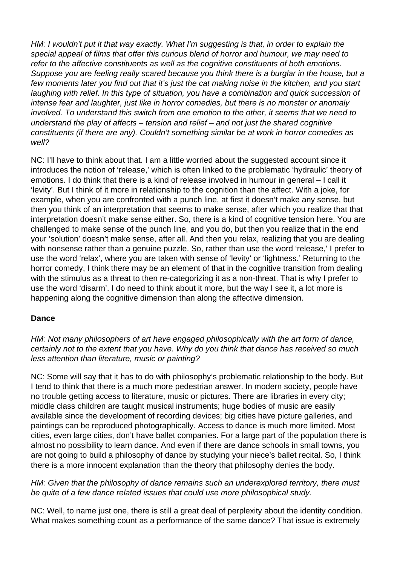HM: I wouldn't put it that way exactly. What I'm suggesting is that, in order to explain the special appeal of films that offer this curious blend of horror and humour, we may need to refer to the affective constituents as well as the cognitive constituents of both emotions. Suppose you are feeling really scared because you think there is a burglar in the house, but a few moments later you find out that it's just the cat making noise in the kitchen, and you start laughing with relief. In this type of situation, you have a combination and quick succession of intense fear and laughter, just like in horror comedies, but there is no monster or anomaly involved. To understand this switch from one emotion to the other, it seems that we need to understand the play of affects – tension and relief – and not just the shared cognitive constituents (if there are any). Couldn't something similar be at work in horror comedies as well?

NC: I'll have to think about that. I am a little worried about the suggested account since it introduces the notion of 'release,' which is often linked to the problematic 'hydraulic' theory of emotions. I do think that there is a kind of release involved in humour in general – I call it 'levity'. But I think of it more in relationship to the cognition than the affect. With a joke, for example, when you are confronted with a punch line, at first it doesn't make any sense, but then you think of an interpretation that seems to make sense, after which you realize that that interpretation doesn't make sense either. So, there is a kind of cognitive tension here. You are challenged to make sense of the punch line, and you do, but then you realize that in the end your 'solution' doesn't make sense, after all. And then you relax, realizing that you are dealing with nonsense rather than a genuine puzzle. So, rather than use the word 'release,' I prefer to use the word 'relax', where you are taken with sense of 'levity' or 'lightness.' Returning to the horror comedy, I think there may be an element of that in the cognitive transition from dealing with the stimulus as a threat to then re-categorizing it as a non-threat. That is why I prefer to use the word 'disarm'. I do need to think about it more, but the way I see it, a lot more is happening along the cognitive dimension than along the affective dimension.

# **Dance**

HM: Not many philosophers of art have engaged philosophically with the art form of dance, certainly not to the extent that you have. Why do you think that dance has received so much less attention than literature, music or painting?

NC: Some will say that it has to do with philosophy's problematic relationship to the body. But I tend to think that there is a much more pedestrian answer. In modern society, people have no trouble getting access to literature, music or pictures. There are libraries in every city; middle class children are taught musical instruments; huge bodies of music are easily available since the development of recording devices; big cities have picture galleries, and paintings can be reproduced photographically. Access to dance is much more limited. Most cities, even large cities, don't have ballet companies. For a large part of the population there is almost no possibility to learn dance. And even if there are dance schools in small towns, you are not going to build a philosophy of dance by studying your niece's ballet recital. So, I think there is a more innocent explanation than the theory that philosophy denies the body.

# HM: Given that the philosophy of dance remains such an underexplored territory, there must be quite of a few dance related issues that could use more philosophical study.

NC: Well, to name just one, there is still a great deal of perplexity about the identity condition. What makes something count as a performance of the same dance? That issue is extremely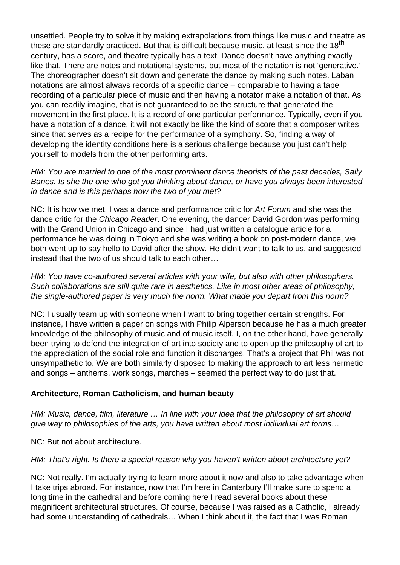unsettled. People try to solve it by making extrapolations from things like music and theatre as these are standardly practiced. But that is difficult because music, at least since the 18<sup>th</sup> century, has a score, and theatre typically has a text. Dance doesn't have anything exactly like that. There are notes and notational systems, but most of the notation is not 'generative.' The choreographer doesn't sit down and generate the dance by making such notes. Laban notations are almost always records of a specific dance – comparable to having a tape recording of a particular piece of music and then having a notator make a notation of that. As you can readily imagine, that is not guaranteed to be the structure that generated the movement in the first place. It is a record of one particular performance. Typically, even if you have a notation of a dance, it will not exactly be like the kind of score that a composer writes since that serves as a recipe for the performance of a symphony. So, finding a way of developing the identity conditions here is a serious challenge because you just can't help yourself to models from the other performing arts.

HM: You are married to one of the most prominent dance theorists of the past decades, Sally Banes. Is she the one who got you thinking about dance, or have you always been interested in dance and is this perhaps how the two of you met?

NC: It is how we met. I was a dance and performance critic for Art Forum and she was the dance critic for the Chicago Reader. One evening, the dancer David Gordon was performing with the Grand Union in Chicago and since I had just written a catalogue article for a performance he was doing in Tokyo and she was writing a book on post-modern dance, we both went up to say hello to David after the show. He didn't want to talk to us, and suggested instead that the two of us should talk to each other…

HM: You have co-authored several articles with your wife, but also with other philosophers. Such collaborations are still quite rare in aesthetics. Like in most other areas of philosophy, the single-authored paper is very much the norm. What made you depart from this norm?

NC: I usually team up with someone when I want to bring together certain strengths. For instance, I have written a paper on songs with Philip Alperson because he has a much greater knowledge of the philosophy of music and of music itself. I, on the other hand, have generally been trying to defend the integration of art into society and to open up the philosophy of art to the appreciation of the social role and function it discharges. That's a project that Phil was not unsympathetic to. We are both similarly disposed to making the approach to art less hermetic and songs – anthems, work songs, marches – seemed the perfect way to do just that.

# **Architecture, Roman Catholicism, and human beauty**

HM: Music, dance, film, literature … In line with your idea that the philosophy of art should give way to philosophies of the arts, you have written about most individual art forms…

NC: But not about architecture.

HM: That's right. Is there a special reason why you haven't written about architecture yet?

NC: Not really. I'm actually trying to learn more about it now and also to take advantage when I take trips abroad. For instance, now that I'm here in Canterbury I'll make sure to spend a long time in the cathedral and before coming here I read several books about these magnificent architectural structures. Of course, because I was raised as a Catholic, I already had some understanding of cathedrals… When I think about it, the fact that I was Roman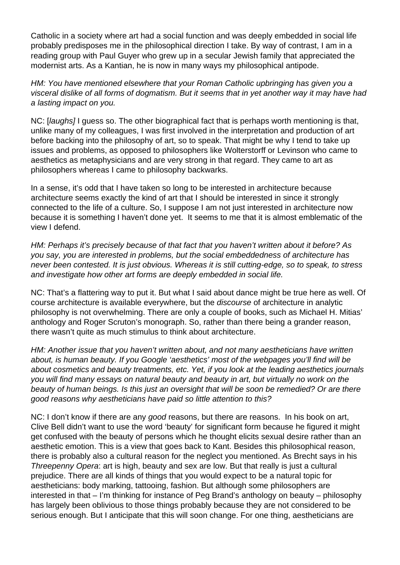Catholic in a society where art had a social function and was deeply embedded in social life probably predisposes me in the philosophical direction I take. By way of contrast, I am in a reading group with Paul Guyer who grew up in a secular Jewish family that appreciated the modernist arts. As a Kantian, he is now in many ways my philosophical antipode.

HM: You have mentioned elsewhere that your Roman Catholic upbringing has given you a visceral dislike of all forms of dogmatism. But it seems that in yet another way it may have had a lasting impact on you.

NC: [*laughs*] I guess so. The other biographical fact that is perhaps worth mentioning is that, unlike many of my colleagues, I was first involved in the interpretation and production of art before backing into the philosophy of art, so to speak. That might be why I tend to take up issues and problems, as opposed to philosophers like Wolterstorff or Levinson who came to aesthetics as metaphysicians and are very strong in that regard. They came to art as philosophers whereas I came to philosophy backwarks.

In a sense, it's odd that I have taken so long to be interested in architecture because architecture seems exactly the kind of art that I should be interested in since it strongly connected to the life of a culture. So, I suppose I am not just interested in architecture now because it is something I haven't done yet. It seems to me that it is almost emblematic of the view I defend.

HM: Perhaps it's precisely because of that fact that you haven't written about it before? As you say, you are interested in problems, but the social embeddedness of architecture has never been contested. It is just obvious. Whereas it is still cutting-edge, so to speak, to stress and investigate how other art forms are deeply embedded in social life.

NC: That's a flattering way to put it. But what I said about dance might be true here as well. Of course architecture is available everywhere, but the discourse of architecture in analytic philosophy is not overwhelming. There are only a couple of books, such as Michael H. Mitias' anthology and Roger Scruton's monograph. So, rather than there being a grander reason, there wasn't quite as much stimulus to think about architecture.

HM: Another issue that you haven't written about, and not many aestheticians have written about, is human beauty. If you Google 'aesthetics' most of the webpages you'll find will be about cosmetics and beauty treatments, etc. Yet, if you look at the leading aesthetics journals you will find many essays on natural beauty and beauty in art, but virtually no work on the beauty of human beings. Is this just an oversight that will be soon be remedied? Or are there good reasons why aestheticians have paid so little attention to this?

NC: I don't know if there are any good reasons, but there are reasons. In his book on art, Clive Bell didn't want to use the word 'beauty' for significant form because he figured it might get confused with the beauty of persons which he thought elicits sexual desire rather than an aesthetic emotion. This is a view that goes back to Kant. Besides this philosophical reason, there is probably also a cultural reason for the neglect you mentioned. As Brecht says in his Threepenny Opera: art is high, beauty and sex are low. But that really is just a cultural prejudice. There are all kinds of things that you would expect to be a natural topic for aestheticians: body marking, tattooing, fashion. But although some philosophers are interested in that – I'm thinking for instance of Peg Brand's anthology on beauty – philosophy has largely been oblivious to those things probably because they are not considered to be serious enough. But I anticipate that this will soon change. For one thing, aestheticians are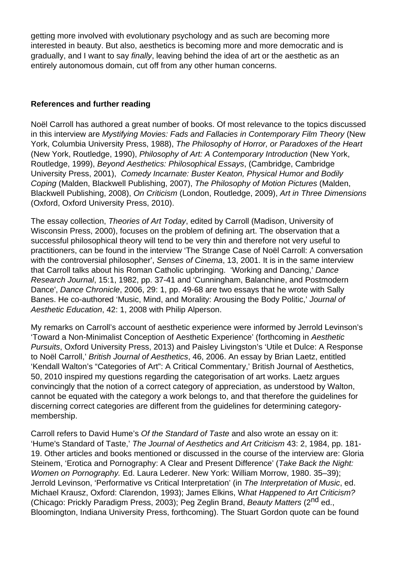getting more involved with evolutionary psychology and as such are becoming more interested in beauty. But also, aesthetics is becoming more and more democratic and is gradually, and I want to say finally, leaving behind the idea of art or the aesthetic as an entirely autonomous domain, cut off from any other human concerns.

#### **References and further reading**

Noël Carroll has authored a great number of books. Of most relevance to the topics discussed in this interview are Mystifying Movies: Fads and Fallacies in Contemporary Film Theory (New York, Columbia University Press, 1988), The Philosophy of Horror, or Paradoxes of the Heart (New York, Routledge, 1990), Philosophy of Art: A Contemporary Introduction (New York, Routledge, 1999), Beyond Aesthetics: Philosophical Essays, (Cambridge, Cambridge University Press, 2001), Comedy Incarnate: Buster Keaton, Physical Humor and Bodily Coping (Malden, Blackwell Publishing, 2007), The Philosophy of Motion Pictures (Malden, Blackwell Publishing, 2008), On Criticism (London, Routledge, 2009), Art in Three Dimensions (Oxford, Oxford University Press, 2010).

The essay collection, Theories of Art Today, edited by Carroll (Madison, University of Wisconsin Press, 2000), focuses on the problem of defining art. The observation that a successful philosophical theory will tend to be very thin and therefore not very useful to practitioners, can be found in the interview 'The Strange Case of Noël Carroll: A conversation with the controversial philosopher', Senses of Cinema, 13, 2001. It is in the same interview that Carroll talks about his Roman Catholic upbringing. 'Working and Dancing,' Dance Research Journal, 15:1, 1982, pp. 37-41 and 'Cunningham, Balanchine, and Postmodern Dance', Dance Chronicle, 2006, 29: 1, pp. 49-68 are two essays that he wrote with Sally Banes. He co-authored 'Music, Mind, and Morality: Arousing the Body Politic,' Journal of Aesthetic Education, 42: 1, 2008 with Philip Alperson.

My remarks on Carroll's account of aesthetic experience were informed by Jerrold Levinson's 'Toward a Non-Minimalist Conception of Aesthetic Experience' (forthcoming in Aesthetic Pursuits, Oxford University Press, 2013) and Paisley Livingston's 'Utile et Dulce: A Response to Noël Carroll,' British Journal of Aesthetics, 46, 2006. An essay by Brian Laetz, entitled 'Kendall Walton's "Categories of Art": A Critical Commentary,' British Journal of Aesthetics, 50, 2010 inspired my questions regarding the categorisation of art works. Laetz argues convincingly that the notion of a correct category of appreciation, as understood by Walton, cannot be equated with the category a work belongs to, and that therefore the guidelines for discerning correct categories are different from the guidelines for determining categorymembership.

Carroll refers to David Hume's Of the Standard of Taste and also wrote an essay on it: 'Hume's Standard of Taste,' The Journal of Aesthetics and Art Criticism 43: 2, 1984, pp. 181- 19. Other articles and books mentioned or discussed in the course of the interview are: Gloria Steinem, 'Erotica and Pornography: A Clear and Present Difference' (Take Back the Night: Women on Pornography. Ed. Laura Lederer. New York: William Morrow, 1980. 35-39); Jerrold Levinson, 'Performative vs Critical Interpretation' (in The Interpretation of Music, ed. Michael Krausz, Oxford: Clarendon, 1993); James Elkins, What Happened to Art Criticism? (Chicago: Prickly Paradigm Press, 2003); Peg Zeglin Brand, Beauty Matters (2<sup>nd</sup> ed., Bloomington, Indiana University Press, forthcoming). The Stuart Gordon quote can be found